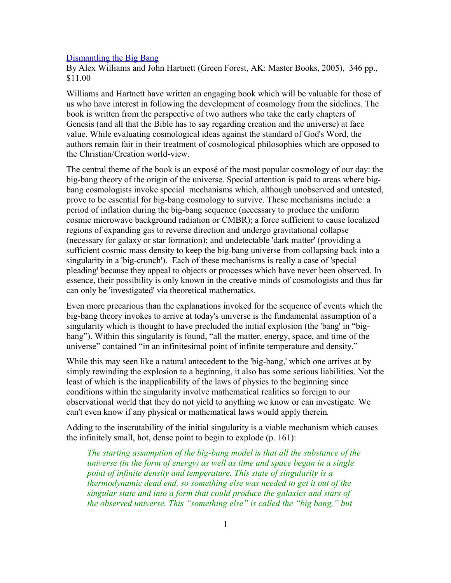## [Dismantling the Big Bang](http://www.bestbookdeal.com/book/compare/0-89051-437-2)

By Alex Williams and John Hartnett (Green Forest, AK: Master Books, 2005), 346 pp., \$11.00

Williams and Hartnett have written an engaging book which will be valuable for those of us who have interest in following the development of cosmology from the sidelines. The book is written from the perspective of two authors who take the early chapters of Genesis (and all that the Bible has to say regarding creation and the universe) at face value. While evaluating cosmological ideas against the standard of God's Word, the authors remain fair in their treatment of cosmological philosophies which are opposed to the Christian/Creation world-view.

The central theme of the book is an exposé of the most popular cosmology of our day: the big-bang theory of the origin of the universe. Special attention is paid to areas where bigbang cosmologists invoke special mechanisms which, although unobserved and untested, prove to be essential for big-bang cosmology to survive. These mechanisms include: a period of inflation during the big-bang sequence (necessary to produce the uniform cosmic microwave background radiation or CMBR); a force sufficient to cause localized regions of expanding gas to reverse direction and undergo gravitational collapse (necessary for galaxy or star formation); and undetectable 'dark matter' (providing a sufficient cosmic mass density to keep the big-bang universe from collapsing back into a singularity in a 'big-crunch'). Each of these mechanisms is really a case of 'special pleading' because they appeal to objects or processes which have never been observed. In essence, their possibility is only known in the creative minds of cosmologists and thus far can only be 'investigated' via theoretical mathematics.

Even more precarious than the explanations invoked for the sequence of events which the big-bang theory invokes to arrive at today's universe is the fundamental assumption of a singularity which is thought to have precluded the initial explosion (the 'bang' in "bigbang"). Within this singularity is found, "all the matter, energy, space, and time of the universe" contained "in an infinitesimal point of infinite temperature and density."

While this may seen like a natural antecedent to the 'big-bang,' which one arrives at by simply rewinding the explosion to a beginning, it also has some serious liabilities. Not the least of which is the inapplicability of the laws of physics to the beginning since conditions within the singularity involve mathematical realities so foreign to our observational world that they do not yield to anything we know or can investigate. We can't even know if any physical or mathematical laws would apply therein*.*

Adding to the inscrutability of the initial singularity is a viable mechanism which causes the infinitely small, hot, dense point to begin to explode (p. 161):

*The starting assumption of the big-bang model is that all the substance of the universe (in the form of energy) as well as time and space began in a single point of infinite density and temperature. This state of singularity is a thermodynamic dead end, so something else was needed to get it out of the singular state and into a form that could produce the galaxies and stars of the observed universe. This "something else" is called the "big bang," but*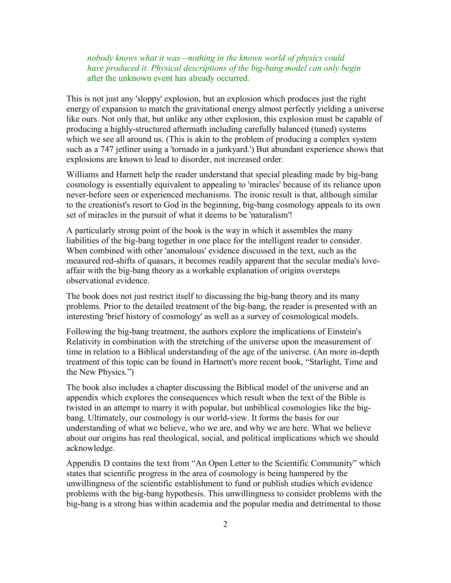*nobody knows what it was—nothing in the known world of physics could have produced it. Physical descriptions of the big-bang model can only begin* after the unknown event has already occurred.

This is not just any 'sloppy' explosion, but an explosion which produces just the right energy of expansion to match the gravitational energy almost perfectly yielding a universe like ours. Not only that, but unlike any other explosion, this explosion must be capable of producing a highly-structured aftermath including carefully balanced (tuned) systems which we see all around us. (This is akin to the problem of producing a complex system such as a 747 jetliner using a 'tornado in a junkyard.') But abundant experience shows that explosions are known to lead to disorder, not increased order.

Williams and Harnett help the reader understand that special pleading made by big-bang cosmology is essentially equivalent to appealing to 'miracles' because of its reliance upon never-before seen or experienced mechanisms. The ironic result is that, although similar to the creationist's resort to God in the beginning, big-bang cosmology appeals to its own set of miracles in the pursuit of what it deems to be 'naturalism'!

A particularly strong point of the book is the way in which it assembles the many liabilities of the big-bang together in one place for the intelligent reader to consider. When combined with other 'anomalous' evidence discussed in the text, such as the measured red-shifts of quasars, it becomes readily apparent that the secular media's loveaffair with the big-bang theory as a workable explanation of origins oversteps observational evidence.

The book does not just restrict itself to discussing the big-bang theory and its many problems. Prior to the detailed treatment of the big-bang, the reader is presented with an interesting 'brief history of cosmology' as well as a survey of cosmological models.

Following the big-bang treatment, the authors explore the implications of Einstein's Relativity in combination with the stretching of the universe upon the measurement of time in relation to a Biblical understanding of the age of the universe. (An more in-depth treatment of this topic can be found in Hartnett's more recent book, "Starlight, Time and the New Physics.")

The book also includes a chapter discussing the Biblical model of the universe and an appendix which explores the consequences which result when the text of the Bible is twisted in an attempt to marry it with popular, but unbiblical cosmologies like the bigbang. Ultimately, our cosmology is our world-view. It forms the basis for our understanding of what we believe, who we are, and why we are here. What we believe about our origins has real theological, social, and political implications which we should acknowledge.

Appendix D contains the text from "An Open Letter to the Scientific Community" which states that scientific progress in the area of cosmology is being hampered by the unwillingness of the scientific establishment to fund or publish studies which evidence problems with the big-bang hypothesis. This unwillingness to consider problems with the big-bang is a strong bias within academia and the popular media and detrimental to those